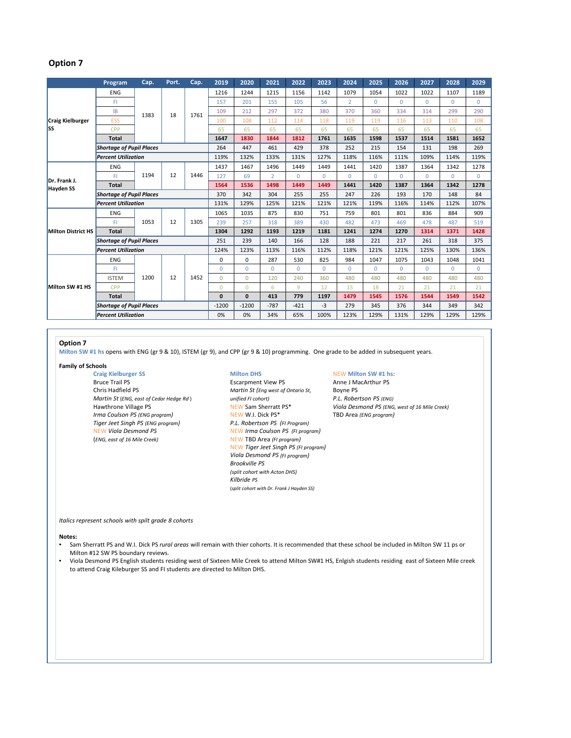# **Option 7**

|                                  | Program                         | Cap. | Port. | Cap. | 2019         | 2020         | 2021           | 2022         | 2023        | 2024           | 2025     | 2026     | 2027     | 2028     | 2029           |
|----------------------------------|---------------------------------|------|-------|------|--------------|--------------|----------------|--------------|-------------|----------------|----------|----------|----------|----------|----------------|
| <b>Craig Kielburger</b><br>lss   | <b>ENG</b>                      | 1383 | 18    | 1761 | 1216         | 1244         | 1215           | 1156         | 1142        | 1079           | 1054     | 1022     | 1022     | 1107     | 1189           |
|                                  | FI.                             |      |       |      | 157          | 201          | 155            | 105          | 56          | $\overline{2}$ | $\Omega$ | $\Omega$ | $\Omega$ | $\Omega$ | $\Omega$       |
|                                  | IB                              |      |       |      | 109          | 212          | 297            | 372          | 380         | 370            | 360      | 334      | 314      | 299      | 290            |
|                                  | <b>ESS</b>                      |      |       |      | 100          | 108          | 112            | 114          | 118         | 119            | 119      | 116      | 113      | 110      | 108            |
|                                  | CPP                             |      |       |      | 65           | 65           | 65             | 65           | 65          | 65             | 65       | 65       | 65       | 65       | 65             |
|                                  | <b>Total</b>                    |      |       |      | 1647         | 1830         | 1844           | 1812         | 1761        | 1635           | 1598     | 1537     | 1514     | 1581     | 1652           |
|                                  | <b>Shortage of Pupil Places</b> |      |       |      | 264          | 447          | 461            | 429          | 378         | 252            | 215      | 154      | 131      | 198      | 269            |
|                                  | <b>Percent Utilization</b>      |      |       |      | 119%         | 132%         | 133%           | 131%         | 127%        | 118%           | 116%     | 111%     | 109%     | 114%     | 119%           |
| Dr. Frank J.<br><b>Hayden SS</b> | <b>ENG</b>                      | 1194 | 12    | 1446 | 1437         | 1467         | 1496           | 1449         | 1449        | 1441           | 1420     | 1387     | 1364     | 1342     | 1278           |
|                                  | FI                              |      |       |      | 127          | 69           | $\overline{2}$ | $\Omega$     | $\Omega$    | $\Omega$       | $\Omega$ | $\Omega$ | $\Omega$ | $\Omega$ | $\Omega$       |
|                                  | <b>Total</b>                    |      |       |      | 1564         | 1536         | 1498           | 1449         | 1449        | 1441           | 1420     | 1387     | 1364     | 1342     | 1278           |
|                                  | <b>Shortage of Pupil Places</b> |      |       |      | 370          | 342          | 304            | 255          | 255         | 247            | 226      | 193      | 170      | 148      | 84             |
|                                  | <b>Percent Utilization</b>      |      |       |      | 131%         | 129%         | 125%           | 121%         | 121%        | 121%           | 119%     | 116%     | 114%     | 112%     | 107%           |
| <b>Milton District HS</b>        | <b>ENG</b>                      | 1053 | 12    | 1305 | 1065         | 1035         | 875            | 830          | 751         | 759            | 801      | 801      | 836      | 884      | 909            |
|                                  | FL.                             |      |       |      | 239          | 257          | 318            | 389          | 430         | 482            | 473      | 469      | 478      | 487      | 519            |
|                                  | <b>Total</b>                    |      |       |      | 1304         | 1292         | 1193           | 1219         | 1181        | 1241           | 1274     | 1270     | 1314     | 1371     | 1428           |
|                                  | <b>Shortage of Pupil Places</b> |      |       |      | 251          | 239          | 140            | 166          | 128         | 188            | 221      | 217      | 261      | 318      | 375            |
|                                  | <b>Percent Utilization</b>      |      |       |      | 124%         | 123%         | 113%           | 116%         | 112%        | 118%           | 121%     | 121%     | 125%     | 130%     | 136%           |
| Milton SW #1 HS                  | <b>ENG</b>                      | 1200 | 12    | 1452 | 0            | $\Omega$     | 287            | 530          | 825         | 984            | 1047     | 1075     | 1043     | 1048     | 1041           |
|                                  | FI                              |      |       |      | $\Omega$     | $\Omega$     | $\Omega$       | $\mathbf{0}$ | $\mathbf 0$ | $\Omega$       | $\Omega$ | $\Omega$ | $\Omega$ | 0        | $\overline{0}$ |
|                                  | <b>ISTEM</b>                    |      |       |      | $\Omega$     | $\Omega$     | 120            | 240          | 360         | 480            | 480      | 480      | 480      | 480      | 480            |
|                                  | CPP                             |      |       |      | $\Omega$     | $\Omega$     | 6              | 9            | 12          | 15             | 18       | 21       | 21       | 21       | 21             |
|                                  | <b>Total</b>                    |      |       |      | $\mathbf{0}$ | $\mathbf{0}$ | 413            | 779          | 1197        | 1479           | 1545     | 1576     | 1544     | 1549     | 1542           |
|                                  | <b>Shortage of Pupil Places</b> |      |       |      | $-1200$      | $-1200$      | $-787$         | $-421$       | $-3$        | 279            | 345      | 376      | 344      | 349      | 342            |
|                                  | <b>Percent Utilization</b>      |      |       |      | 0%           | 0%           | 34%            | 65%          | 100%        | 123%           | 129%     | 131%     | 129%     | 129%     | 129%           |

## **Option 7**

**Milton SW #1 hs** opens with ENG (gr 9 & 10), ISTEM (gr 9), and CPP (gr 9 & 10) programming. One grade to be added in subsequent years.

# **Family of Schools**

**Craig** Kielburger SS Milton DHS NEW Milton SW #1 hs:<br>
Bruce Trail PS **Milton DHS** Escarpment View PS Anne J MacArthur PS Chris Hadfield PS *Martin St (Eng west of Ontario St,* Boyne PS *Martin St* (*ENG, east of Cedar Hedge Rd*)<br>Hawthrone Village PS *Irma* Coulson PS (ENG program) NEW W.I. Dick PS\* TBD Area (ENG program) *Tiger Jeet Singh PS (ENG program) P.L. Robertson PS (FI Program)* (*ENG, east of 16 Mile Creek)* NEW TBD Area *(FI program)*

Escarpment View PS Anne J MacArthur PS NEW *Viola Desmond PS* NEW *Irma Coulson PS (FI program)* NEW *Tiger Jeet Singh PS (FI program) Viola Desmond PS (FI program) Brookville PS (split cohort with Acton DHS) Kilbride PS* (*split cohort with Dr. Frank J Hayden SS)*

Hawthrone Village PS NEW Sam Sherratt PS\* *Viola Desmond PS (ENG, west of 16 Mile Creek)*

### *Italics represent schools with spilt grade 8 cohorts*

## **Notes:**

- Sam Sherratt PS and W.I. Dick PS *rural areas* will remain with thier cohorts. It is recommended that these school be included in Milton SW 11 ps or Milton #12 SW PS boundary reviews.
- Viola Desmond PS English students residing west of Sixteen Mile Creek to attend Milton SW#1 HS, Enlgish students residing east of Sixteen Mile creek to attend Craig Kileburger SS and FI students are directed to Milton DHS.